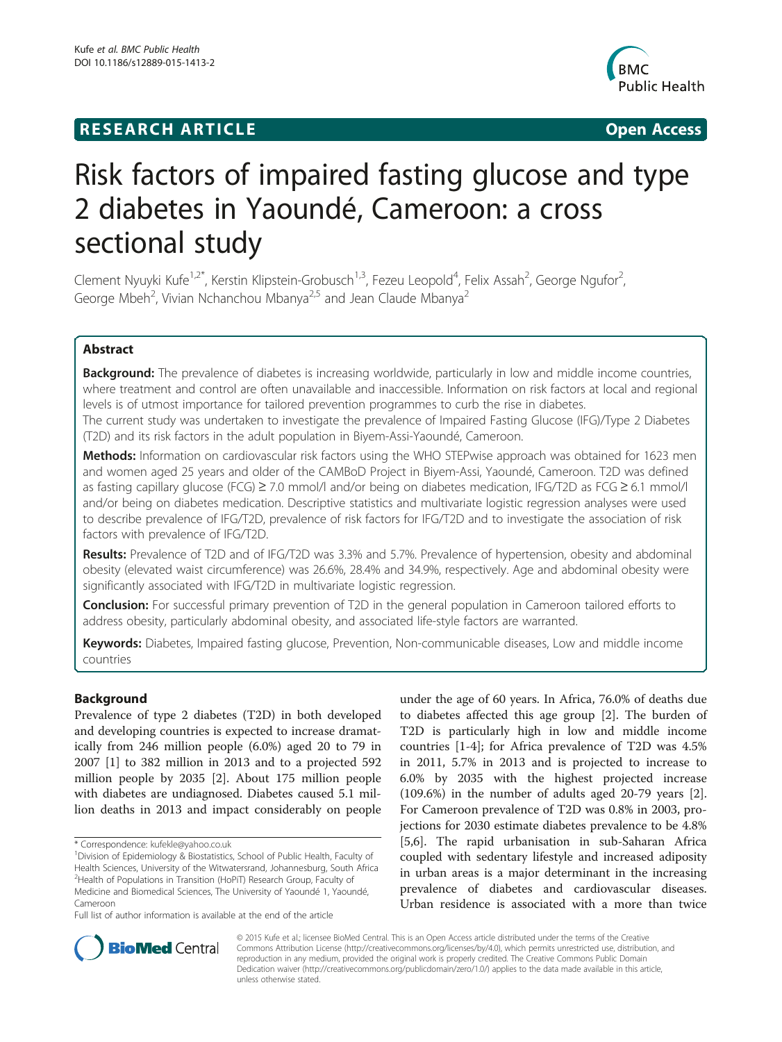## **RESEARCH ARTICLE Example 2014 12:30 The SEAR CHIPS 2014 12:30 The Open Access**



# Risk factors of impaired fasting glucose and type 2 diabetes in Yaoundé, Cameroon: a cross sectional study

Clement Nyuyki Kufe<sup>1,2\*</sup>, Kerstin Klipstein-Grobusch<sup>1,3</sup>, Fezeu Leopold<sup>4</sup>, Felix Assah<sup>2</sup>, George Ngufor<sup>2</sup> , George Mbeh<sup>2</sup>, Vivian Nchanchou Mbanya<sup>2,5</sup> and Jean Claude Mbanya<sup>2</sup>

## Abstract

Background: The prevalence of diabetes is increasing worldwide, particularly in low and middle income countries, where treatment and control are often unavailable and inaccessible. Information on risk factors at local and regional levels is of utmost importance for tailored prevention programmes to curb the rise in diabetes.

The current study was undertaken to investigate the prevalence of Impaired Fasting Glucose (IFG)/Type 2 Diabetes (T2D) and its risk factors in the adult population in Biyem-Assi-Yaoundé, Cameroon.

Methods: Information on cardiovascular risk factors using the WHO STEPwise approach was obtained for 1623 men and women aged 25 years and older of the CAMBoD Project in Biyem-Assi, Yaoundé, Cameroon. T2D was defined as fasting capillary glucose (FCG) ≥ 7.0 mmol/l and/or being on diabetes medication, IFG/T2D as FCG ≥ 6.1 mmol/l and/or being on diabetes medication. Descriptive statistics and multivariate logistic regression analyses were used to describe prevalence of IFG/T2D, prevalence of risk factors for IFG/T2D and to investigate the association of risk factors with prevalence of IFG/T2D.

Results: Prevalence of T2D and of IFG/T2D was 3.3% and 5.7%. Prevalence of hypertension, obesity and abdominal obesity (elevated waist circumference) was 26.6%, 28.4% and 34.9%, respectively. Age and abdominal obesity were significantly associated with IFG/T2D in multivariate logistic regression.

Conclusion: For successful primary prevention of T2D in the general population in Cameroon tailored efforts to address obesity, particularly abdominal obesity, and associated life-style factors are warranted.

Keywords: Diabetes, Impaired fasting glucose, Prevention, Non-communicable diseases, Low and middle income countries

## Background

Prevalence of type 2 diabetes (T2D) in both developed and developing countries is expected to increase dramatically from 246 million people (6.0%) aged 20 to 79 in 2007 [1] to 382 million in 2013 and to a projected 592 million people by 2035 [2]. About 175 million people with diabetes are undiagnosed. Diabetes caused 5.1 million deaths in 2013 and impact considerably on people

Full list of author information is available at the end of the article

under the age of 60 years. In Africa, 76.0% of deaths due to diabetes affected this age group [2]. The burden of T2D is particularly high in low and middle income countries [1-4]; for Africa prevalence of T2D was 4.5% in 2011, 5.7% in 2013 and is projected to increase to 6.0% by 2035 with the highest projected increase (109.6%) in the number of adults aged 20-79 years [2]. For Cameroon prevalence of T2D was 0.8% in 2003, projections for 2030 estimate diabetes prevalence to be 4.8% [5,6]. The rapid urbanisation in sub-Saharan Africa coupled with sedentary lifestyle and increased adiposity in urban areas is a major determinant in the increasing prevalence of diabetes and cardiovascular diseases. Urban residence is associated with a more than twice



© 2015 Kufe et al.; licensee BioMed Central. This is an Open Access article distributed under the terms of the Creative Commons Attribution License (http://creativecommons.org/licenses/by/4.0), which permits unrestricted use, distribution, and reproduction in any medium, provided the original work is properly credited. The Creative Commons Public Domain Dedication waiver (http://creativecommons.org/publicdomain/zero/1.0/) applies to the data made available in this article, unless otherwise stated.

<sup>\*</sup> Correspondence: kufekle@yahoo.co.uk <sup>1</sup>

<sup>&</sup>lt;sup>1</sup> Division of Epidemiology & Biostatistics, School of Public Health, Faculty of Health Sciences, University of the Witwatersrand, Johannesburg, South Africa <sup>2</sup>Health of Populations in Transition (HoPiT) Research Group, Faculty of Medicine and Biomedical Sciences, The University of Yaoundé 1, Yaoundé, Cameroon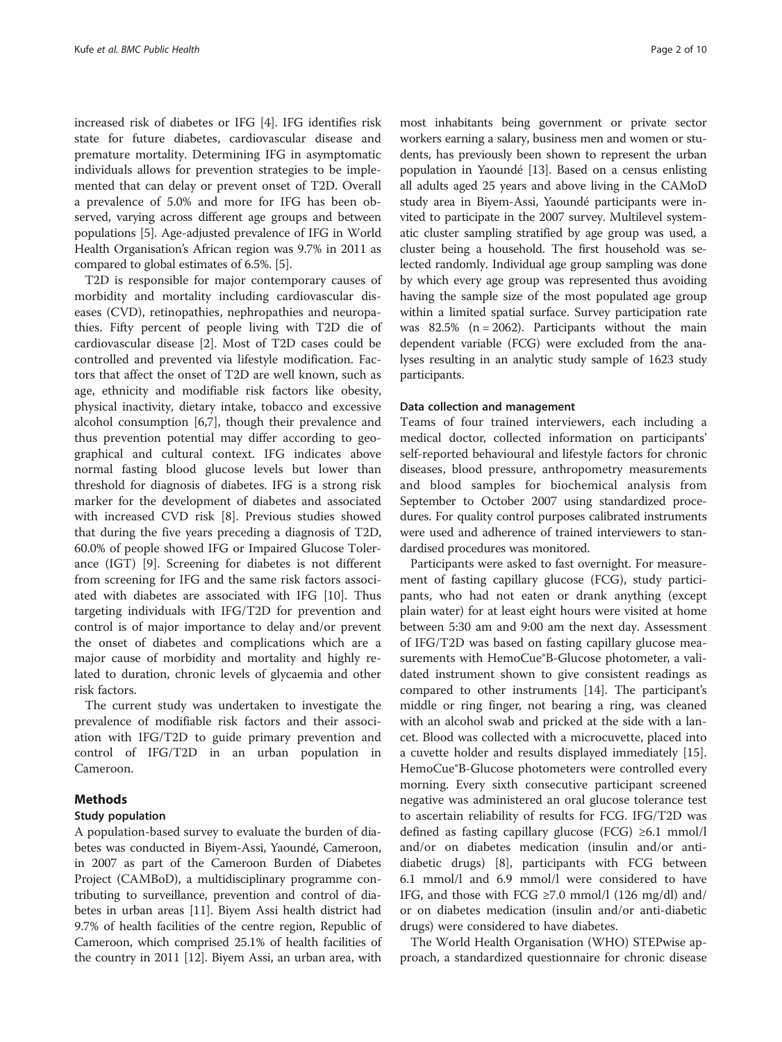increased risk of diabetes or IFG [4]. IFG identifies risk state for future diabetes, cardiovascular disease and premature mortality. Determining IFG in asymptomatic individuals allows for prevention strategies to be implemented that can delay or prevent onset of T2D. Overall a prevalence of 5.0% and more for IFG has been observed, varying across different age groups and between populations [5]. Age-adjusted prevalence of IFG in World Health Organisation's African region was 9.7% in 2011 as compared to global estimates of 6.5%. [5].

T2D is responsible for major contemporary causes of morbidity and mortality including cardiovascular diseases (CVD), retinopathies, nephropathies and neuropathies. Fifty percent of people living with T2D die of cardiovascular disease [2]. Most of T2D cases could be controlled and prevented via lifestyle modification. Factors that affect the onset of T2D are well known, such as age, ethnicity and modifiable risk factors like obesity, physical inactivity, dietary intake, tobacco and excessive alcohol consumption [6,7], though their prevalence and thus prevention potential may differ according to geographical and cultural context. IFG indicates above normal fasting blood glucose levels but lower than threshold for diagnosis of diabetes. IFG is a strong risk marker for the development of diabetes and associated with increased CVD risk [8]. Previous studies showed that during the five years preceding a diagnosis of T2D, 60.0% of people showed IFG or Impaired Glucose Tolerance (IGT) [9]. Screening for diabetes is not different from screening for IFG and the same risk factors associated with diabetes are associated with IFG [10]. Thus targeting individuals with IFG/T2D for prevention and control is of major importance to delay and/or prevent the onset of diabetes and complications which are a major cause of morbidity and mortality and highly related to duration, chronic levels of glycaemia and other risk factors.

The current study was undertaken to investigate the prevalence of modifiable risk factors and their association with IFG/T2D to guide primary prevention and control of IFG/T2D in an urban population in Cameroon.

## Methods

#### Study population

A population-based survey to evaluate the burden of diabetes was conducted in Biyem-Assi, Yaoundé, Cameroon, in 2007 as part of the Cameroon Burden of Diabetes Project (CAMBoD), a multidisciplinary programme contributing to surveillance, prevention and control of diabetes in urban areas [11]. Biyem Assi health district had 9.7% of health facilities of the centre region, Republic of Cameroon, which comprised 25.1% of health facilities of the country in 2011 [12]. Biyem Assi, an urban area, with

most inhabitants being government or private sector workers earning a salary, business men and women or students, has previously been shown to represent the urban population in Yaoundé [13]. Based on a census enlisting all adults aged 25 years and above living in the CAMoD study area in Biyem-Assi, Yaoundé participants were invited to participate in the 2007 survey. Multilevel systematic cluster sampling stratified by age group was used, a cluster being a household. The first household was selected randomly. Individual age group sampling was done by which every age group was represented thus avoiding having the sample size of the most populated age group within a limited spatial surface. Survey participation rate was  $82.5\%$  (n = 2062). Participants without the main dependent variable (FCG) were excluded from the analyses resulting in an analytic study sample of 1623 study participants.

#### Data collection and management

Teams of four trained interviewers, each including a medical doctor, collected information on participants' self-reported behavioural and lifestyle factors for chronic diseases, blood pressure, anthropometry measurements and blood samples for biochemical analysis from September to October 2007 using standardized procedures. For quality control purposes calibrated instruments were used and adherence of trained interviewers to standardised procedures was monitored.

Participants were asked to fast overnight. For measurement of fasting capillary glucose (FCG), study participants, who had not eaten or drank anything (except plain water) for at least eight hours were visited at home between 5:30 am and 9:00 am the next day. Assessment of IFG/T2D was based on fasting capillary glucose measurements with HemoCue®B-Glucose photometer, a validated instrument shown to give consistent readings as compared to other instruments [14]. The participant's middle or ring finger, not bearing a ring, was cleaned with an alcohol swab and pricked at the side with a lancet. Blood was collected with a microcuvette, placed into a cuvette holder and results displayed immediately [15]. HemoCue®B-Glucose photometers were controlled every morning. Every sixth consecutive participant screened negative was administered an oral glucose tolerance test to ascertain reliability of results for FCG. IFG/T2D was defined as fasting capillary glucose (FCG) ≥6.1 mmol/l and/or on diabetes medication (insulin and/or antidiabetic drugs) [8], participants with FCG between 6.1 mmol/l and 6.9 mmol/l were considered to have IFG, and those with FCG  $\geq$ 7.0 mmol/l (126 mg/dl) and/ or on diabetes medication (insulin and/or anti-diabetic drugs) were considered to have diabetes.

The World Health Organisation (WHO) STEPwise approach, a standardized questionnaire for chronic disease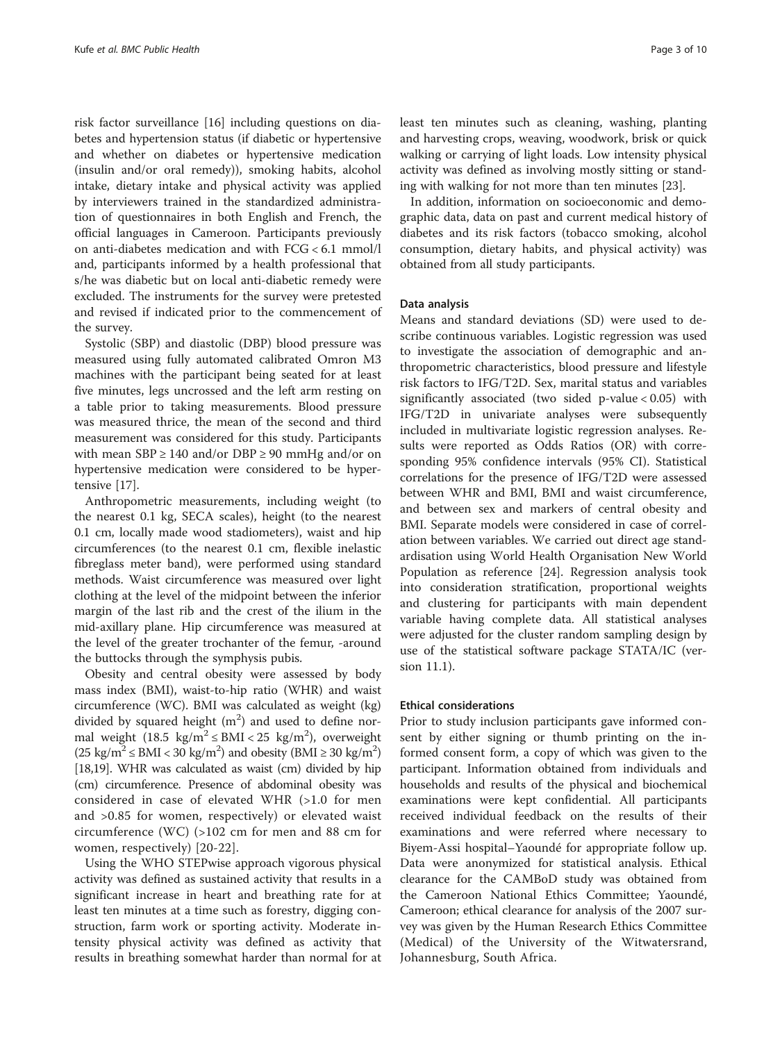risk factor surveillance [16] including questions on diabetes and hypertension status (if diabetic or hypertensive and whether on diabetes or hypertensive medication (insulin and/or oral remedy)), smoking habits, alcohol intake, dietary intake and physical activity was applied by interviewers trained in the standardized administration of questionnaires in both English and French, the official languages in Cameroon. Participants previously on anti-diabetes medication and with FCG < 6.1 mmol/l and, participants informed by a health professional that s/he was diabetic but on local anti-diabetic remedy were excluded. The instruments for the survey were pretested and revised if indicated prior to the commencement of the survey.

Systolic (SBP) and diastolic (DBP) blood pressure was measured using fully automated calibrated Omron M3 machines with the participant being seated for at least five minutes, legs uncrossed and the left arm resting on a table prior to taking measurements. Blood pressure was measured thrice, the mean of the second and third measurement was considered for this study. Participants with mean  $SBP \ge 140$  and/or DBP  $\ge 90$  mmHg and/or on hypertensive medication were considered to be hypertensive [17].

Anthropometric measurements, including weight (to the nearest 0.1 kg, SECA scales), height (to the nearest 0.1 cm, locally made wood stadiometers), waist and hip circumferences (to the nearest 0.1 cm, flexible inelastic fibreglass meter band), were performed using standard methods. Waist circumference was measured over light clothing at the level of the midpoint between the inferior margin of the last rib and the crest of the ilium in the mid-axillary plane. Hip circumference was measured at the level of the greater trochanter of the femur, -around the buttocks through the symphysis pubis.

Obesity and central obesity were assessed by body mass index (BMI), waist-to-hip ratio (WHR) and waist circumference (WC). BMI was calculated as weight (kg) divided by squared height  $(m^2)$  and used to define normal weight  $(18.5 \text{ kg/m}^2 \leq \text{BMI} < 25 \text{ kg/m}^2)$ , overweight  $(25 \text{ kg/m}^2 \leq \text{BMI} < 30 \text{ kg/m}^2)$  and obesity  $(\text{BMI} \geq 30 \text{ kg/m}^2)$ [18,19]. WHR was calculated as waist (cm) divided by hip (cm) circumference. Presence of abdominal obesity was considered in case of elevated WHR (>1.0 for men and >0.85 for women, respectively) or elevated waist circumference (WC) (>102 cm for men and 88 cm for women, respectively) [20-22].

Using the WHO STEPwise approach vigorous physical activity was defined as sustained activity that results in a significant increase in heart and breathing rate for at least ten minutes at a time such as forestry, digging construction, farm work or sporting activity. Moderate intensity physical activity was defined as activity that results in breathing somewhat harder than normal for at least ten minutes such as cleaning, washing, planting and harvesting crops, weaving, woodwork, brisk or quick walking or carrying of light loads. Low intensity physical activity was defined as involving mostly sitting or standing with walking for not more than ten minutes [23].

In addition, information on socioeconomic and demographic data, data on past and current medical history of diabetes and its risk factors (tobacco smoking, alcohol consumption, dietary habits, and physical activity) was obtained from all study participants.

## Data analysis

Means and standard deviations (SD) were used to describe continuous variables. Logistic regression was used to investigate the association of demographic and anthropometric characteristics, blood pressure and lifestyle risk factors to IFG/T2D. Sex, marital status and variables significantly associated (two sided p-value < 0.05) with IFG/T2D in univariate analyses were subsequently included in multivariate logistic regression analyses. Results were reported as Odds Ratios (OR) with corresponding 95% confidence intervals (95% CI). Statistical correlations for the presence of IFG/T2D were assessed between WHR and BMI, BMI and waist circumference, and between sex and markers of central obesity and BMI. Separate models were considered in case of correlation between variables. We carried out direct age standardisation using World Health Organisation New World Population as reference [24]. Regression analysis took into consideration stratification, proportional weights and clustering for participants with main dependent variable having complete data. All statistical analyses were adjusted for the cluster random sampling design by use of the statistical software package STATA/IC (version 11.1).

#### Ethical considerations

Prior to study inclusion participants gave informed consent by either signing or thumb printing on the informed consent form, a copy of which was given to the participant. Information obtained from individuals and households and results of the physical and biochemical examinations were kept confidential. All participants received individual feedback on the results of their examinations and were referred where necessary to Biyem-Assi hospital–Yaoundé for appropriate follow up. Data were anonymized for statistical analysis. Ethical clearance for the CAMBoD study was obtained from the Cameroon National Ethics Committee; Yaoundé, Cameroon; ethical clearance for analysis of the 2007 survey was given by the Human Research Ethics Committee (Medical) of the University of the Witwatersrand, Johannesburg, South Africa.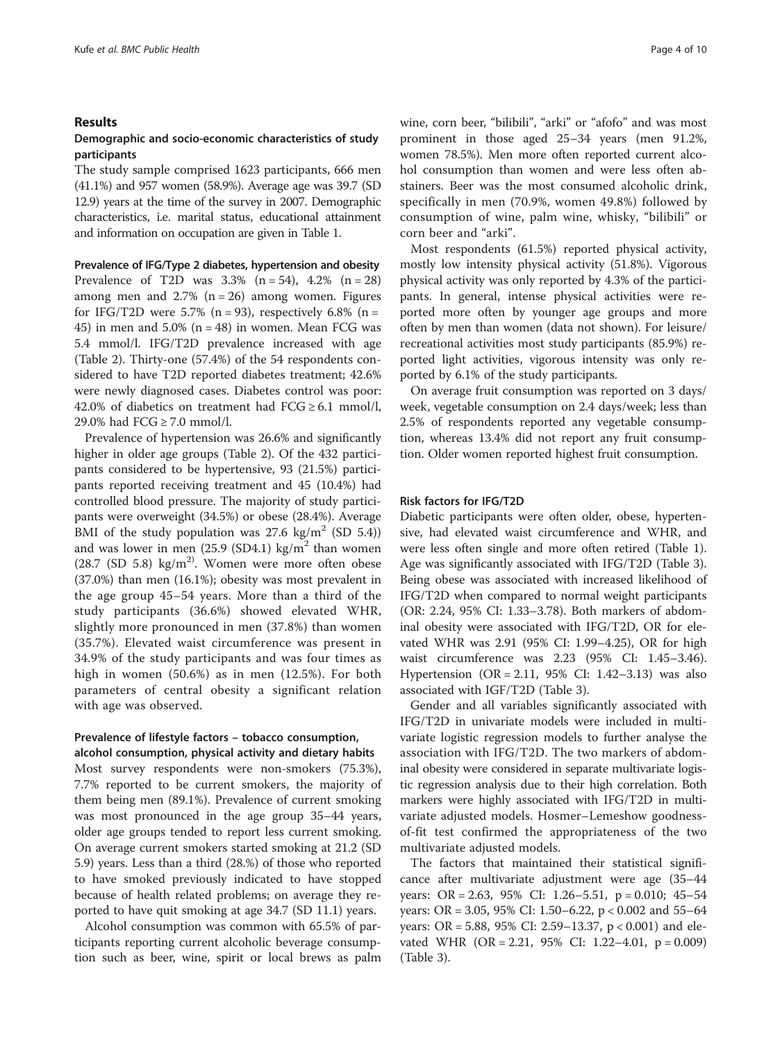## Results

## Demographic and socio-economic characteristics of study participants

The study sample comprised 1623 participants, 666 men (41.1%) and 957 women (58.9%). Average age was 39.7 (SD 12.9) years at the time of the survey in 2007. Demographic characteristics, i.e. marital status, educational attainment and information on occupation are given in Table 1.

Prevalence of IFG/Type 2 diabetes, hypertension and obesity Prevalence of T2D was  $3.3\%$  (n = 54),  $4.2\%$  (n = 28) among men and  $2.7\%$  (n = 26) among women. Figures for IFG/T2D were 5.7% (n = 93), respectively 6.8% (n = 45) in men and  $5.0\%$  (n = 48) in women. Mean FCG was 5.4 mmol/l. IFG/T2D prevalence increased with age (Table 2). Thirty-one (57.4%) of the 54 respondents considered to have T2D reported diabetes treatment; 42.6% were newly diagnosed cases. Diabetes control was poor: 42.0% of diabetics on treatment had  $FCG \ge 6.1$  mmol/l, 29.0% had FCG ≥ 7.0 mmol/l.

Prevalence of hypertension was 26.6% and significantly higher in older age groups (Table 2). Of the 432 participants considered to be hypertensive, 93 (21.5%) participants reported receiving treatment and 45 (10.4%) had controlled blood pressure. The majority of study participants were overweight (34.5%) or obese (28.4%). Average BMI of the study population was  $27.6 \text{ kg/m}^2 \text{ (SD 5.4)}$ and was lower in men  $(25.9 \text{ (SD4.1) kg/m}^2$  than women  $(28.7 \text{ (SD } 5.8) \text{ kg/m}^2)$ . Women were more often obese (37.0%) than men (16.1%); obesity was most prevalent in the age group 45–54 years. More than a third of the study participants (36.6%) showed elevated WHR, slightly more pronounced in men (37.8%) than women (35.7%). Elevated waist circumference was present in 34.9% of the study participants and was four times as high in women (50.6%) as in men (12.5%). For both parameters of central obesity a significant relation with age was observed.

## Prevalence of lifestyle factors – tobacco consumption, alcohol consumption, physical activity and dietary habits

Most survey respondents were non-smokers (75.3%), 7.7% reported to be current smokers, the majority of them being men (89.1%). Prevalence of current smoking was most pronounced in the age group 35–44 years, older age groups tended to report less current smoking. On average current smokers started smoking at 21.2 (SD 5.9) years. Less than a third (28.%) of those who reported to have smoked previously indicated to have stopped because of health related problems; on average they reported to have quit smoking at age 34.7 (SD 11.1) years.

Alcohol consumption was common with 65.5% of participants reporting current alcoholic beverage consumption such as beer, wine, spirit or local brews as palm wine, corn beer, "bilibili", "arki" or "afofo" and was most prominent in those aged 25–34 years (men 91.2%, women 78.5%). Men more often reported current alcohol consumption than women and were less often abstainers. Beer was the most consumed alcoholic drink, specifically in men (70.9%, women 49.8%) followed by consumption of wine, palm wine, whisky, "bilibili" or corn beer and "arki".

Most respondents (61.5%) reported physical activity, mostly low intensity physical activity (51.8%). Vigorous physical activity was only reported by 4.3% of the participants. In general, intense physical activities were reported more often by younger age groups and more often by men than women (data not shown). For leisure/ recreational activities most study participants (85.9%) reported light activities, vigorous intensity was only reported by 6.1% of the study participants.

On average fruit consumption was reported on 3 days/ week, vegetable consumption on 2.4 days/week; less than 2.5% of respondents reported any vegetable consumption, whereas 13.4% did not report any fruit consumption. Older women reported highest fruit consumption.

## Risk factors for IFG/T2D

Diabetic participants were often older, obese, hypertensive, had elevated waist circumference and WHR, and were less often single and more often retired (Table 1). Age was significantly associated with IFG/T2D (Table 3). Being obese was associated with increased likelihood of IFG/T2D when compared to normal weight participants (OR: 2.24, 95% CI: 1.33–3.78). Both markers of abdominal obesity were associated with IFG/T2D, OR for elevated WHR was 2.91 (95% CI: 1.99–4.25), OR for high waist circumference was 2.23 (95% CI: 1.45–3.46). Hypertension (OR = 2.11, 95% CI: 1.42–3.13) was also associated with IGF/T2D (Table 3).

Gender and all variables significantly associated with IFG/T2D in univariate models were included in multivariate logistic regression models to further analyse the association with IFG/T2D. The two markers of abdominal obesity were considered in separate multivariate logistic regression analysis due to their high correlation. Both markers were highly associated with IFG/T2D in multivariate adjusted models. Hosmer–Lemeshow goodnessof-fit test confirmed the appropriateness of the two multivariate adjusted models.

The factors that maintained their statistical significance after multivariate adjustment were age (35–44 years: OR = 2.63, 95% CI: 1.26–5.51, p = 0.010; 45–54 years: OR = 3.05, 95% CI: 1.50–6.22, p < 0.002 and 55–64 years: OR = 5.88, 95% CI: 2.59–13.37, p < 0.001) and elevated WHR  $(OR = 2.21, 95\% \text{ CI: } 1.22 - 4.01, p = 0.009)$ (Table 3).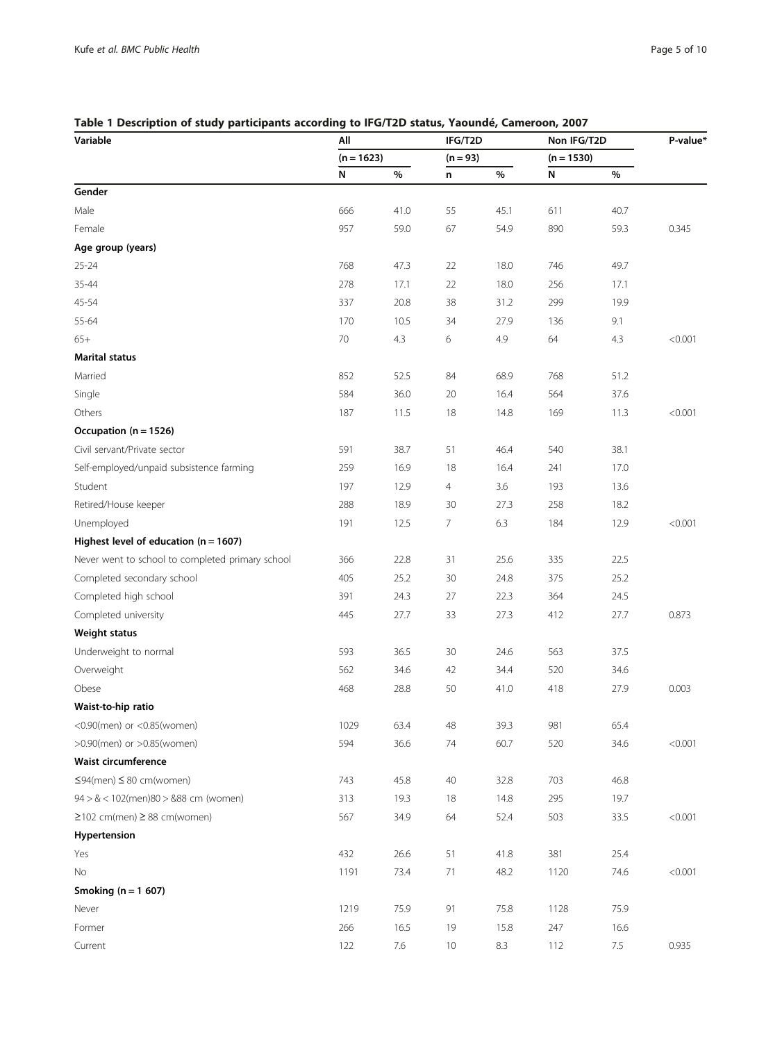## Table 1 Description of study participants according to IFG/T2D status, Yaoundé, Cameroon, 2007

| Variable                                         | All          |         | IFG/T2D        |      | Non IFG/T2D  |         | P-value* |
|--------------------------------------------------|--------------|---------|----------------|------|--------------|---------|----------|
|                                                  | $(n = 1623)$ |         | $(n = 93)$     |      | $(n = 1530)$ |         |          |
|                                                  | N            | $\%$    | n              | %    | N            | $\%$    |          |
| Gender                                           |              |         |                |      |              |         |          |
| Male                                             | 666          | 41.0    | 55             | 45.1 | 611          | 40.7    |          |
| Female                                           | 957          | 59.0    | 67             | 54.9 | 890          | 59.3    | 0.345    |
| Age group (years)                                |              |         |                |      |              |         |          |
| $25 - 24$                                        | 768          | 47.3    | 22             | 18.0 | 746          | 49.7    |          |
| 35-44                                            | 278          | 17.1    | 22             | 18.0 | 256          | 17.1    |          |
| 45-54                                            | 337          | 20.8    | 38             | 31.2 | 299          | 19.9    |          |
| 55-64                                            | 170          | 10.5    | 34             | 27.9 | 136          | 9.1     |          |
| $65+$                                            | 70           | 4.3     | 6              | 4.9  | 64           | 4.3     | < 0.001  |
| <b>Marital status</b>                            |              |         |                |      |              |         |          |
| Married                                          | 852          | 52.5    | 84             | 68.9 | 768          | 51.2    |          |
| Single                                           | 584          | 36.0    | 20             | 16.4 | 564          | 37.6    |          |
| Others                                           | 187          | 11.5    | 18             | 14.8 | 169          | 11.3    | < 0.001  |
| Occupation (n = 1526)                            |              |         |                |      |              |         |          |
| Civil servant/Private sector                     | 591          | 38.7    | 51             | 46.4 | 540          | 38.1    |          |
| Self-employed/unpaid subsistence farming         | 259          | 16.9    | 18             | 16.4 | 241          | 17.0    |          |
| Student                                          | 197          | 12.9    | $\overline{4}$ | 3.6  | 193          | 13.6    |          |
| Retired/House keeper                             | 288          | 18.9    | 30             | 27.3 | 258          | 18.2    |          |
| Unemployed                                       | 191          | 12.5    | 7              | 6.3  | 184          | 12.9    | < 0.001  |
| Highest level of education ( $n = 1607$ )        |              |         |                |      |              |         |          |
| Never went to school to completed primary school | 366          | 22.8    | 31             | 25.6 | 335          | 22.5    |          |
| Completed secondary school                       | 405          | 25.2    | 30             | 24.8 | 375          | 25.2    |          |
| Completed high school                            | 391          | 24.3    | 27             | 22.3 | 364          | 24.5    |          |
| Completed university                             | 445          | 27.7    | 33             | 27.3 | 412          | 27.7    | 0.873    |
| <b>Weight status</b>                             |              |         |                |      |              |         |          |
| Underweight to normal                            | 593          | 36.5    | 30             | 24.6 | 563          | 37.5    |          |
| Overweight                                       | 562          | 34.6    | 42             | 34.4 | 520          | 34.6    |          |
| Obese                                            | 468          | 28.8    | 50             | 41.0 | 418          | 27.9    | 0.003    |
| Waist-to-hip ratio                               |              |         |                |      |              |         |          |
| <0.90(men) or <0.85(women)                       | 1029         | 63.4    | 48             | 39.3 | 981          | 65.4    |          |
| >0.90(men) or >0.85(women)                       | 594          | 36.6    | 74             | 60.7 | 520          | 34.6    | < 0.001  |
| Waist circumference                              |              |         |                |      |              |         |          |
| $\leq$ 94(men) $\leq$ 80 cm(women)               | 743          | 45.8    | 40             | 32.8 | 703          | 46.8    |          |
| $94 > 8 < 102$ (men) $80 > 888$ cm (women)       | 313          | 19.3    | 18             | 14.8 | 295          | 19.7    |          |
| $\geq$ 102 cm(men) $\geq$ 88 cm(women)           | 567          | 34.9    | 64             | 52.4 | 503          | 33.5    | < 0.001  |
| Hypertension                                     |              |         |                |      |              |         |          |
| Yes                                              | 432          | 26.6    | 51             | 41.8 | 381          | 25.4    |          |
| No                                               | 1191         | 73.4    | 71             | 48.2 | 1120         | 74.6    | < 0.001  |
| Smoking ( $n = 1607$ )                           |              |         |                |      |              |         |          |
| Never                                            | 1219         | 75.9    | 91             | 75.8 | 1128         | 75.9    |          |
| Former                                           | 266          | 16.5    | 19             | 15.8 | 247          | 16.6    |          |
| Current                                          | 122          | $7.6\,$ | 10             | 8.3  | 112          | $7.5\,$ | 0.935    |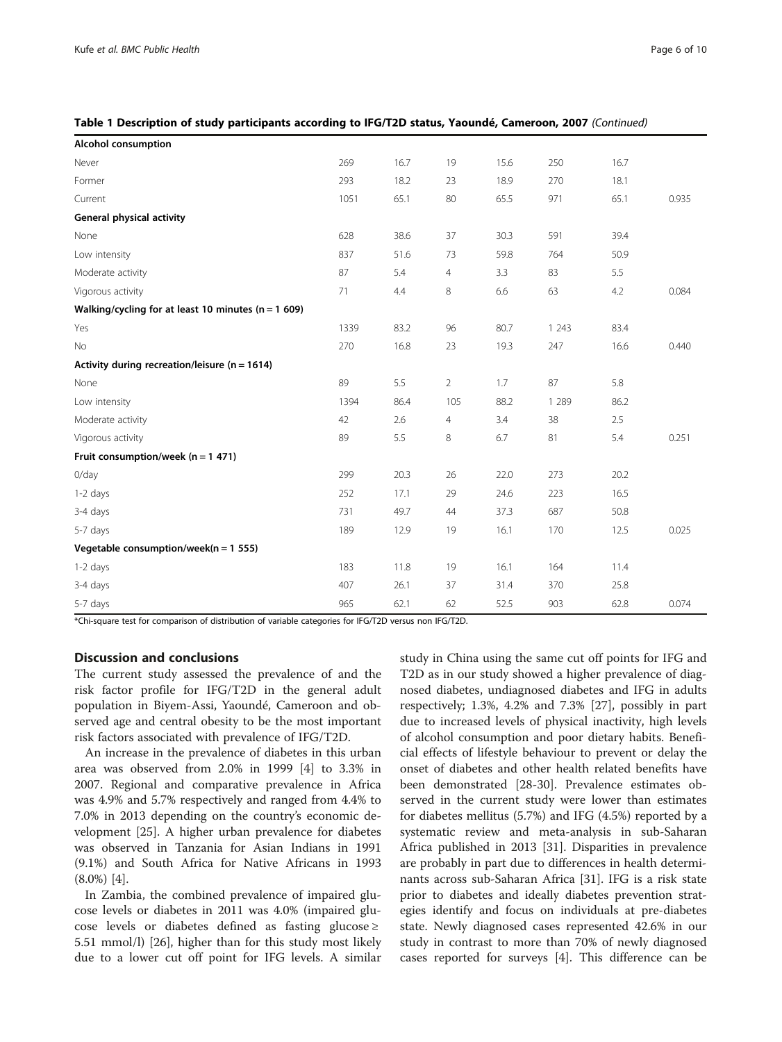| Table 1 Description of study participants according to IFG/T2D status, Yaoundé, Cameroon, 2007 (Continued) |  |  |
|------------------------------------------------------------------------------------------------------------|--|--|
|------------------------------------------------------------------------------------------------------------|--|--|

| <b>Alcohol consumption</b>                             |      |      |                |      |         |      |       |
|--------------------------------------------------------|------|------|----------------|------|---------|------|-------|
| Never                                                  | 269  | 16.7 | 19             | 15.6 | 250     | 16.7 |       |
| Former                                                 | 293  | 18.2 | 23             | 18.9 | 270     | 18.1 |       |
| Current                                                | 1051 | 65.1 | 80             | 65.5 | 971     | 65.1 | 0.935 |
| General physical activity                              |      |      |                |      |         |      |       |
| None                                                   | 628  | 38.6 | 37             | 30.3 | 591     | 39.4 |       |
| Low intensity                                          | 837  | 51.6 | 73             | 59.8 | 764     | 50.9 |       |
| Moderate activity                                      | 87   | 5.4  | $\overline{4}$ | 3.3  | 83      | 5.5  |       |
| Vigorous activity                                      | 71   | 4.4  | 8              | 6.6  | 63      | 4.2  | 0.084 |
| Walking/cycling for at least 10 minutes ( $n = 1609$ ) |      |      |                |      |         |      |       |
| Yes                                                    | 1339 | 83.2 | 96             | 80.7 | 1 2 4 3 | 83.4 |       |
| <b>No</b>                                              | 270  | 16.8 | 23             | 19.3 | 247     | 16.6 | 0.440 |
| Activity during recreation/leisure ( $n = 1614$ )      |      |      |                |      |         |      |       |
| None                                                   | 89   | 5.5  | $\overline{2}$ | 1.7  | 87      | 5.8  |       |
| Low intensity                                          | 1394 | 86.4 | 105            | 88.2 | 1 2 8 9 | 86.2 |       |
| Moderate activity                                      | 42   | 2.6  | 4              | 3.4  | 38      | 2.5  |       |
| Vigorous activity                                      | 89   | 5.5  | 8              | 6.7  | 81      | 5.4  | 0.251 |
| Fruit consumption/week ( $n = 1$ 471)                  |      |      |                |      |         |      |       |
| $0$ /day                                               | 299  | 20.3 | 26             | 22.0 | 273     | 20.2 |       |
| $1-2$ days                                             | 252  | 17.1 | 29             | 24.6 | 223     | 16.5 |       |
| 3-4 days                                               | 731  | 49.7 | 44             | 37.3 | 687     | 50.8 |       |
| 5-7 days                                               | 189  | 12.9 | 19             | 16.1 | 170     | 12.5 | 0.025 |
| Vegetable consumption/week( $n = 1$ 555)               |      |      |                |      |         |      |       |
| 1-2 days                                               | 183  | 11.8 | 19             | 16.1 | 164     | 11.4 |       |
| 3-4 days                                               | 407  | 26.1 | 37             | 31.4 | 370     | 25.8 |       |
| 5-7 days                                               | 965  | 62.1 | 62             | 52.5 | 903     | 62.8 | 0.074 |

\*Chi-square test for comparison of distribution of variable categories for IFG/T2D versus non IFG/T2D.

## Discussion and conclusions

The current study assessed the prevalence of and the risk factor profile for IFG/T2D in the general adult population in Biyem-Assi, Yaoundé, Cameroon and observed age and central obesity to be the most important risk factors associated with prevalence of IFG/T2D.

An increase in the prevalence of diabetes in this urban area was observed from 2.0% in 1999 [4] to 3.3% in 2007. Regional and comparative prevalence in Africa was 4.9% and 5.7% respectively and ranged from 4.4% to 7.0% in 2013 depending on the country's economic development [25]. A higher urban prevalence for diabetes was observed in Tanzania for Asian Indians in 1991 (9.1%) and South Africa for Native Africans in 1993 (8.0%) [4].

In Zambia, the combined prevalence of impaired glucose levels or diabetes in 2011 was 4.0% (impaired glucose levels or diabetes defined as fasting glucose  $\ge$ 5.51 mmol/l) [26], higher than for this study most likely due to a lower cut off point for IFG levels. A similar

study in China using the same cut off points for IFG and T2D as in our study showed a higher prevalence of diagnosed diabetes, undiagnosed diabetes and IFG in adults respectively; 1.3%, 4.2% and 7.3% [27], possibly in part due to increased levels of physical inactivity, high levels of alcohol consumption and poor dietary habits. Beneficial effects of lifestyle behaviour to prevent or delay the onset of diabetes and other health related benefits have been demonstrated [28-30]. Prevalence estimates observed in the current study were lower than estimates for diabetes mellitus (5.7%) and IFG (4.5%) reported by a systematic review and meta-analysis in sub-Saharan Africa published in 2013 [31]. Disparities in prevalence are probably in part due to differences in health determinants across sub-Saharan Africa [31]. IFG is a risk state prior to diabetes and ideally diabetes prevention strategies identify and focus on individuals at pre-diabetes state. Newly diagnosed cases represented 42.6% in our study in contrast to more than 70% of newly diagnosed cases reported for surveys [4]. This difference can be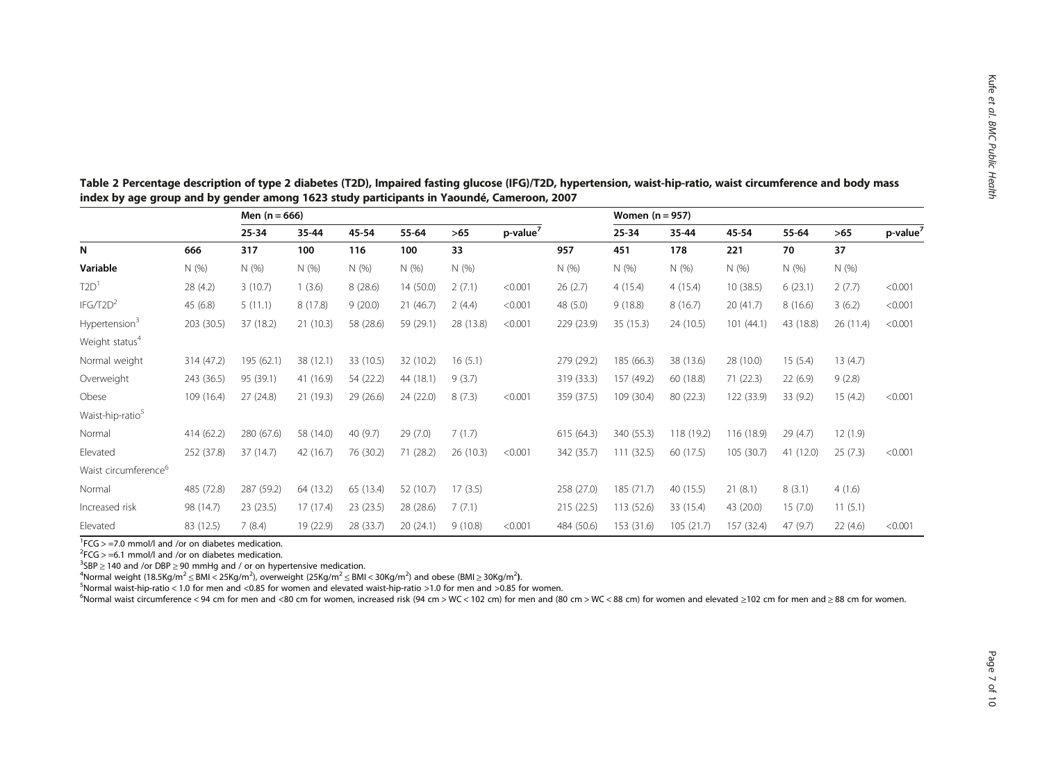|                                  |            | Men $(n = 666)$ |           |           |           |           |                         | Women $(n = 957)$ |            |            |            |           |           |                      |
|----------------------------------|------------|-----------------|-----------|-----------|-----------|-----------|-------------------------|-------------------|------------|------------|------------|-----------|-----------|----------------------|
|                                  |            | 25-34           | 35-44     | 45-54     | 55-64     | $>65$     | $p$ -value <sup>7</sup> |                   | 25-34      | 35-44      | 45-54      | 55-64     | $>65$     | p-value <sup>7</sup> |
| N                                | 666        | 317             | 100       | 116       | 100       | 33        |                         | 957               | 451        | 178        | 221        | 70        | 37        |                      |
| Variable                         | N(% )      | N(%             | N(%)      | N(%)      | N(%)      | N(%       |                         | N(% )             | N (%)      | N(%)       | N(%)       | N(%       | N(%)      |                      |
| T2D <sup>1</sup>                 | 28 (4.2)   | 3(10.7)         | 1(3.6)    | 8(28.6)   | 14 (50.0) | 2(7.1)    | < 0.001                 | 26(2.7)           | 4(15.4)    | 4(15.4)    | 10(38.5)   | 6(23.1)   | 2(7.7)    | < 0.001              |
| IFG/T2D <sup>2</sup>             | 45 (6.8)   | 5(11.1)         | 8(17.8)   | 9(20.0)   | 21(46.7)  | 2(4.4)    | < 0.001                 | 48 (5.0)          | 9(18.8)    | 8(16.7)    | 20(41.7)   | 8(16.6)   | 3(6.2)    | < 0.001              |
| Hypertension <sup>3</sup>        | 203 (30.5) | 37 (18.2)       | 21(10.3)  | 58 (28.6) | 59 (29.1) | 28 (13.8) | < 0.001                 | 229 (23.9)        | 35(15.3)   | 24 (10.5)  | 101(44.1)  | 43 (18.8) | 26 (11.4) | < 0.001              |
| Weight status <sup>4</sup>       |            |                 |           |           |           |           |                         |                   |            |            |            |           |           |                      |
| Normal weight                    | 314 (47.2) | 195 (62.1)      | 38 (12.1) | 33 (10.5) | 32 (10.2) | 16(5.1)   |                         | 279 (29.2)        | 185 (66.3) | 38 (13.6)  | 28 (10.0)  | 15(5.4)   | 13(4.7)   |                      |
| Overweight                       | 243 (36.5) | 95 (39.1)       | 41 (16.9) | 54 (22.2) | 44 (18.1) | 9(3.7)    |                         | 319 (33.3)        | 157 (49.2) | 60 (18.8)  | 71(22.3)   | 22(6.9)   | 9(2.8)    |                      |
| Obese                            | 109 (16.4) | 27(24.8)        | 21(19.3)  | 29(26.6)  | 24 (22.0) | 8(7.3)    | < 0.001                 | 359 (37.5)        | 109 (30.4) | 80 (22.3)  | 122 (33.9) | 33(9.2)   | 15(4.2)   | < 0.001              |
| Waist-hip-ratio <sup>5</sup>     |            |                 |           |           |           |           |                         |                   |            |            |            |           |           |                      |
| Normal                           | 414 (62.2) | 280 (67.6)      | 58 (14.0) | 40(9.7)   | 29(7.0)   | 7(1.7)    |                         | 615 (64.3)        | 340 (55.3) | 118 (19.2) | 116 (18.9) | 29(4.7)   | 12(1.9)   |                      |
| Elevated                         | 252 (37.8) | 37(14.7)        | 42 (16.7) | 76 (30.2) | 71 (28.2) | 26(10.3)  | < 0.001                 | 342 (35.7)        | 111(32.5)  | 60 (17.5)  | 105(30.7)  | 41 (12.0) | 25(7.3)   | < 0.001              |
| Waist circumference <sup>6</sup> |            |                 |           |           |           |           |                         |                   |            |            |            |           |           |                      |
| Normal                           | 485 (72.8) | 287 (59.2)      | 64 (13.2) | 65 (13.4) | 52 (10.7) | 17(3.5)   |                         | 258 (27.0)        | 185 (71.7) | 40 (15.5)  | 21(8.1)    | 8(3.1)    | 4(1.6)    |                      |
| Increased risk                   | 98 (14.7)  | 23(23.5)        | 17 (17.4) | 23(23.5)  | 28 (28.6) | 7(7.1)    |                         | 215 (22.5)        | 113 (52.6) | 33 (15.4)  | 43 (20.0)  | 15(7.0)   | 11(5.1)   |                      |
| Elevated                         | 83 (12.5)  | 7(8.4)          | 19 (22.9) | 28 (33.7) | 20(24.1)  | 9(10.8)   | < 0.001                 | 484 (50.6)        | 153 (31.6) | 105(21.7)  | 157 (32.4) | 47(9.7)   | 22(4.6)   | < 0.001              |

Table 2 Percentage description of type 2 diabetes (T2D), Impaired fasting glucose (IFG)/T2D, hypertension, waist-hip-ratio, waist circumference and body mass index by age group and by gender among 1623 study participants in Yaoundé, Cameroon, 2007

<sup>1</sup>FCG > =7.0 mmol/l and /or on diabetes medication.

 ${}^{2}$ FCG > =6.1 mmol/l and /or on diabetes medication.

 $3 SBP \geq 140$  and /or DBP ≥ 90 mmHg and / or on hypertensive medication.<br><sup>4</sup>Normal weight (18.5Kg/m<sup>2</sup> < RML< 25Kg/m<sup>2</sup>), overweight (25Kg/m<sup>2</sup> < RM

<sup>4</sup>Normal weight (18.5Kg/m<sup>2</sup> ≤ BMI < 25Kg/m<sup>2</sup>), overweight (25Kg/m<sup>2</sup> ≤ BMI < 30Kg/m<sup>2</sup>) and obese (BMI ≥ 30Kg/m<sup>2</sup>).<br><sup>5</sup>Normal waist bin satio < 1.0 for men and <0.95 for women and olevated waist bin satio >1.0 for me

 $5$ Normal waist-hip-ratio < 1.0 for men and <0.85 for women and elevated waist-hip-ratio >1.0 for men and >0.85 for women.

6 Normal waist circumference < 94 cm for men and <80 cm for women, increased risk (94 cm > WC < 102 cm) for men and (80 cm > WC < 88 cm) for women and elevated ≥102 cm for men and ≥ 88 cm for women.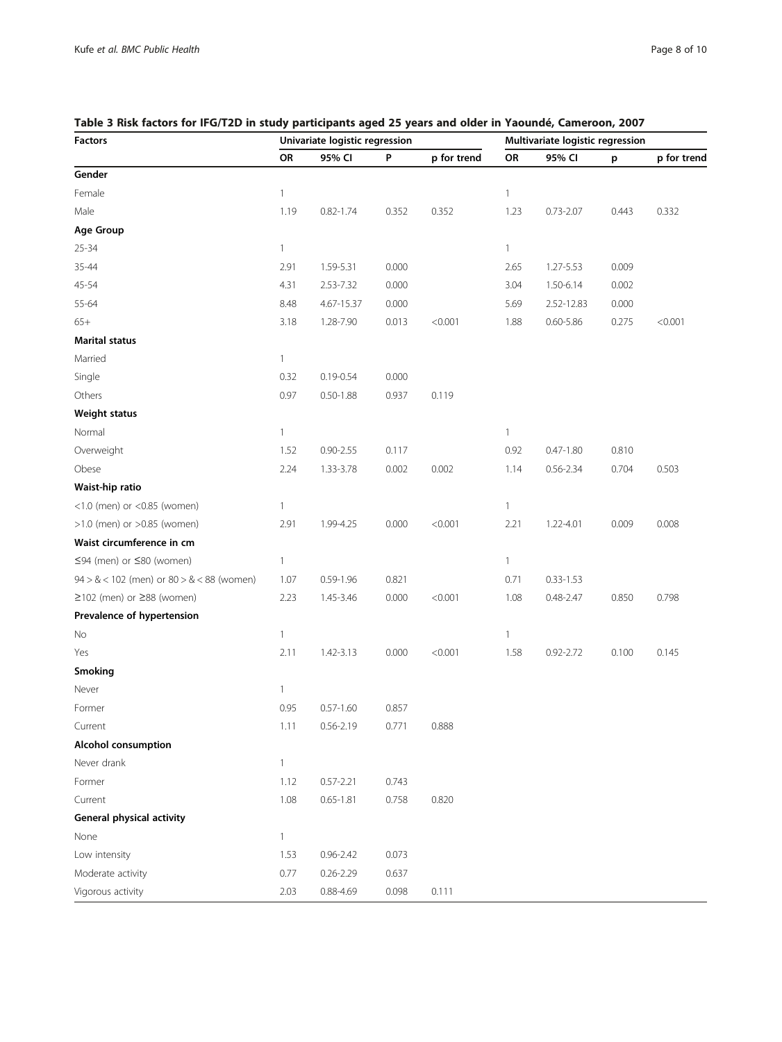## Table 3 Risk factors for IFG/T2D in study participants aged 25 years and older in Yaoundé, Cameroon, 2007

| <b>Factors</b>                                |              | Univariate logistic regression |       |             | Multivariate logistic regression |               |       |             |
|-----------------------------------------------|--------------|--------------------------------|-------|-------------|----------------------------------|---------------|-------|-------------|
|                                               | OR           | 95% CI                         | P     | p for trend | OR                               | 95% CI        | p     | p for trend |
| Gender                                        |              |                                |       |             |                                  |               |       |             |
| Female                                        | $\mathbf{1}$ |                                |       |             | $\mathbf{1}$                     |               |       |             |
| Male                                          | 1.19         | $0.82 - 1.74$                  | 0.352 | 0.352       | 1.23                             | $0.73 - 2.07$ | 0.443 | 0.332       |
| Age Group                                     |              |                                |       |             |                                  |               |       |             |
| 25-34                                         | $\mathbf{1}$ |                                |       |             | $\mathbf{1}$                     |               |       |             |
| 35-44                                         | 2.91         | 1.59-5.31                      | 0.000 |             | 2.65                             | 1.27-5.53     | 0.009 |             |
| 45-54                                         | 4.31         | 2.53-7.32                      | 0.000 |             | 3.04                             | 1.50-6.14     | 0.002 |             |
| 55-64                                         | 8.48         | 4.67-15.37                     | 0.000 |             | 5.69                             | 2.52-12.83    | 0.000 |             |
| $65+$                                         | 3.18         | 1.28-7.90                      | 0.013 | < 0.001     | 1.88                             | $0.60 - 5.86$ | 0.275 | < 0.001     |
| <b>Marital status</b>                         |              |                                |       |             |                                  |               |       |             |
| Married                                       | $\mathbf{1}$ |                                |       |             |                                  |               |       |             |
| Single                                        | 0.32         | $0.19 - 0.54$                  | 0.000 |             |                                  |               |       |             |
| Others                                        | 0.97         | $0.50 - 1.88$                  | 0.937 | 0.119       |                                  |               |       |             |
| Weight status                                 |              |                                |       |             |                                  |               |       |             |
| Normal                                        | $\mathbf{1}$ |                                |       |             | $\mathbf{1}$                     |               |       |             |
| Overweight                                    | 1.52         | $0.90 - 2.55$                  | 0.117 |             | 0.92                             | $0.47 - 1.80$ | 0.810 |             |
| Obese                                         | 2.24         | 1.33-3.78                      | 0.002 | 0.002       | 1.14                             | $0.56 - 2.34$ | 0.704 | 0.503       |
| Waist-hip ratio                               |              |                                |       |             |                                  |               |       |             |
| <1.0 (men) or <0.85 (women)                   | 1            |                                |       |             | $\mathbf{1}$                     |               |       |             |
| >1.0 (men) or >0.85 (women)                   | 2.91         | 1.99-4.25                      | 0.000 | < 0.001     | 2.21                             | 1.22-4.01     | 0.009 | 0.008       |
| Waist circumference in cm                     |              |                                |       |             |                                  |               |       |             |
| ≤94 (men) or ≤80 (women)                      | 1            |                                |       |             | $\mathbf{1}$                     |               |       |             |
| $94 > 8 < 102$ (men) or $80 > 8 < 88$ (women) | 1.07         | $0.59 - 1.96$                  | 0.821 |             | 0.71                             | $0.33 - 1.53$ |       |             |
| $\geq$ 102 (men) or $\geq$ 88 (women)         | 2.23         | 1.45-3.46                      | 0.000 | < 0.001     | 1.08                             | $0.48 - 2.47$ | 0.850 | 0.798       |
| Prevalence of hypertension                    |              |                                |       |             |                                  |               |       |             |
| $\rm No$                                      | $\mathbf{1}$ |                                |       |             | $\mathbf{1}$                     |               |       |             |
| Yes                                           | 2.11         | 1.42-3.13                      | 0.000 | < 0.001     | 1.58                             | $0.92 - 2.72$ | 0.100 | 0.145       |
| Smoking                                       |              |                                |       |             |                                  |               |       |             |
| Never                                         | $\mathbf{1}$ |                                |       |             |                                  |               |       |             |
| Former                                        | 0.95         | $0.57 - 1.60$                  | 0.857 |             |                                  |               |       |             |
| Current                                       | 1.11         | $0.56 - 2.19$                  | 0.771 | 0.888       |                                  |               |       |             |
| Alcohol consumption                           |              |                                |       |             |                                  |               |       |             |
| Never drank                                   | 1            |                                |       |             |                                  |               |       |             |
| Former                                        | 1.12         | $0.57 - 2.21$                  | 0.743 |             |                                  |               |       |             |
| Current                                       | 1.08         | $0.65 - 1.81$                  | 0.758 | 0.820       |                                  |               |       |             |
| General physical activity                     |              |                                |       |             |                                  |               |       |             |
| None                                          | $\mathbf{1}$ |                                |       |             |                                  |               |       |             |
| Low intensity                                 | 1.53         | $0.96 - 2.42$                  | 0.073 |             |                                  |               |       |             |
| Moderate activity                             | 0.77         | $0.26 - 2.29$                  | 0.637 |             |                                  |               |       |             |
| Vigorous activity                             | 2.03         | 0.88-4.69                      | 0.098 | 0.111       |                                  |               |       |             |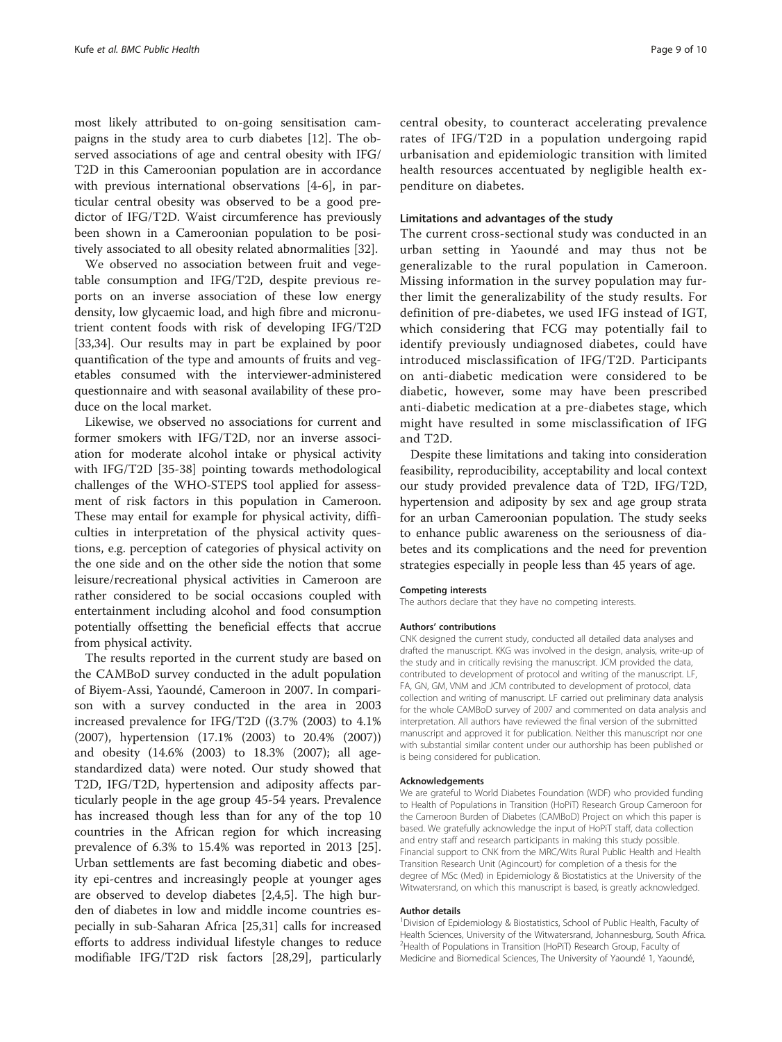most likely attributed to on-going sensitisation campaigns in the study area to curb diabetes [12]. The observed associations of age and central obesity with IFG/ T2D in this Cameroonian population are in accordance with previous international observations [4-6], in particular central obesity was observed to be a good predictor of IFG/T2D. Waist circumference has previously been shown in a Cameroonian population to be positively associated to all obesity related abnormalities [32].

We observed no association between fruit and vegetable consumption and IFG/T2D, despite previous reports on an inverse association of these low energy density, low glycaemic load, and high fibre and micronutrient content foods with risk of developing IFG/T2D [33,34]. Our results may in part be explained by poor quantification of the type and amounts of fruits and vegetables consumed with the interviewer-administered questionnaire and with seasonal availability of these produce on the local market.

Likewise, we observed no associations for current and former smokers with IFG/T2D, nor an inverse association for moderate alcohol intake or physical activity with IFG/T2D [35-38] pointing towards methodological challenges of the WHO-STEPS tool applied for assessment of risk factors in this population in Cameroon. These may entail for example for physical activity, difficulties in interpretation of the physical activity questions, e.g. perception of categories of physical activity on the one side and on the other side the notion that some leisure/recreational physical activities in Cameroon are rather considered to be social occasions coupled with entertainment including alcohol and food consumption potentially offsetting the beneficial effects that accrue from physical activity.

The results reported in the current study are based on the CAMBoD survey conducted in the adult population of Biyem-Assi, Yaoundé, Cameroon in 2007. In comparison with a survey conducted in the area in 2003 increased prevalence for IFG/T2D ((3.7% (2003) to 4.1% (2007), hypertension (17.1% (2003) to 20.4% (2007)) and obesity (14.6% (2003) to 18.3% (2007); all agestandardized data) were noted. Our study showed that T2D, IFG/T2D, hypertension and adiposity affects particularly people in the age group 45-54 years. Prevalence has increased though less than for any of the top 10 countries in the African region for which increasing prevalence of 6.3% to 15.4% was reported in 2013 [25]. Urban settlements are fast becoming diabetic and obesity epi-centres and increasingly people at younger ages are observed to develop diabetes [2,4,5]. The high burden of diabetes in low and middle income countries especially in sub-Saharan Africa [25,31] calls for increased efforts to address individual lifestyle changes to reduce modifiable IFG/T2D risk factors [28,29], particularly central obesity, to counteract accelerating prevalence rates of IFG/T2D in a population undergoing rapid urbanisation and epidemiologic transition with limited health resources accentuated by negligible health expenditure on diabetes.

### Limitations and advantages of the study

The current cross-sectional study was conducted in an urban setting in Yaoundé and may thus not be generalizable to the rural population in Cameroon. Missing information in the survey population may further limit the generalizability of the study results. For definition of pre-diabetes, we used IFG instead of IGT, which considering that FCG may potentially fail to identify previously undiagnosed diabetes, could have introduced misclassification of IFG/T2D. Participants on anti-diabetic medication were considered to be diabetic, however, some may have been prescribed anti-diabetic medication at a pre-diabetes stage, which might have resulted in some misclassification of IFG and T2D.

Despite these limitations and taking into consideration feasibility, reproducibility, acceptability and local context our study provided prevalence data of T2D, IFG/T2D, hypertension and adiposity by sex and age group strata for an urban Cameroonian population. The study seeks to enhance public awareness on the seriousness of diabetes and its complications and the need for prevention strategies especially in people less than 45 years of age.

#### Competing interests

The authors declare that they have no competing interests.

#### Authors' contributions

CNK designed the current study, conducted all detailed data analyses and drafted the manuscript. KKG was involved in the design, analysis, write-up of the study and in critically revising the manuscript. JCM provided the data, contributed to development of protocol and writing of the manuscript. LF, FA, GN, GM, VNM and JCM contributed to development of protocol, data collection and writing of manuscript. LF carried out preliminary data analysis for the whole CAMBoD survey of 2007 and commented on data analysis and interpretation. All authors have reviewed the final version of the submitted manuscript and approved it for publication. Neither this manuscript nor one with substantial similar content under our authorship has been published or is being considered for publication.

#### Acknowledgements

We are grateful to World Diabetes Foundation (WDF) who provided funding to Health of Populations in Transition (HoPiT) Research Group Cameroon for the Cameroon Burden of Diabetes (CAMBoD) Project on which this paper is based. We gratefully acknowledge the input of HoPiT staff, data collection and entry staff and research participants in making this study possible. Financial support to CNK from the MRC/Wits Rural Public Health and Health Transition Research Unit (Agincourt) for completion of a thesis for the degree of MSc (Med) in Epidemiology & Biostatistics at the University of the Witwatersrand, on which this manuscript is based, is greatly acknowledged.

#### Author details

<sup>1</sup> Division of Epidemiology & Biostatistics, School of Public Health, Faculty of Health Sciences, University of the Witwatersrand, Johannesburg, South Africa. <sup>2</sup>Health of Populations in Transition (HoPiT) Research Group, Faculty of Medicine and Biomedical Sciences, The University of Yaoundé 1, Yaoundé,